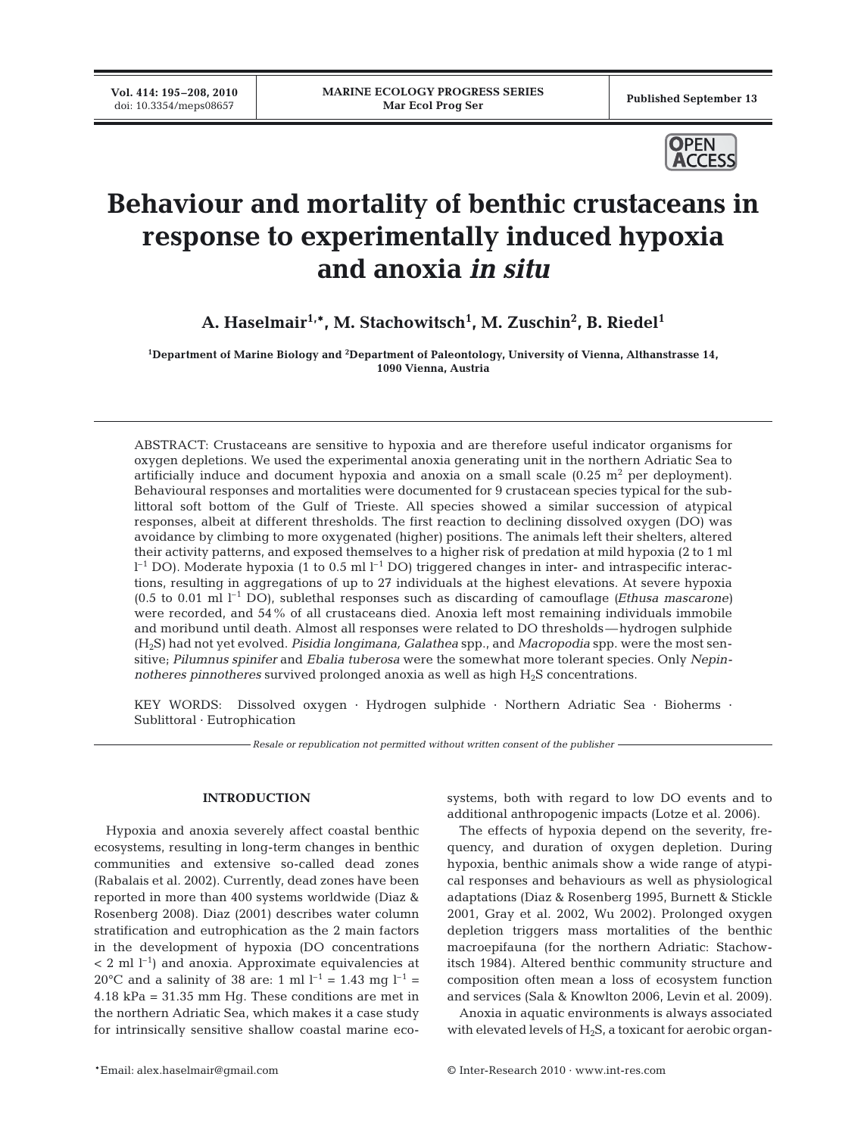**Vol. 414: 195–208, 2010**



# **Behaviour and mortality of benthic crustaceans in response to experimentally induced hypoxia and anoxia** *in situ*

**A. Haselmair1,\*, M. Stachowitsch1 , M. Zuschin2 , B. Riedel1**

**1 Department of Marine Biology and 2 Department of Paleontology, University of Vienna, Althanstrasse 14, 1090 Vienna, Austria**

ABSTRACT: Crustaceans are sensitive to hypoxia and are therefore useful indicator organisms for oxygen depletions. We used the experimental anoxia generating unit in the northern Adriatic Sea to artificially induce and document hypoxia and anoxia on a small scale  $(0.25 \text{ m}^2 \text{ per deployment})$ . Behavioural responses and mortalities were documented for 9 crustacean species typical for the sublittoral soft bottom of the Gulf of Trieste. All species showed a similar succession of atypical responses, albeit at different thresholds. The first reaction to declining dissolved oxygen (DO) was avoidance by climbing to more oxygenated (higher) positions. The animals left their shelters, altered their activity patterns, and exposed themselves to a higher risk of predation at mild hypoxia (2 to 1 ml  $l^{-1}$  DO). Moderate hypoxia (1 to 0.5 ml  $l^{-1}$  DO) triggered changes in inter- and intraspecific interactions, resulting in aggregations of up to 27 individuals at the highest elevations. At severe hypoxia  $(0.5 \text{ to } 0.01 \text{ ml } l^{-1} \text{ DO})$ , sublethal responses such as discarding of camouflage *(Ethusa mascarone)* were recorded, and 54% of all crustaceans died. Anoxia left most remaining individuals immobile and moribund until death. Almost all responses were related to DO thresholds—hydrogen sulphide (H2S) had not yet evolved. *Pisidia longimana, Galathea* spp., and *Macropodia* spp. were the most sensitive; *Pilumnus spinifer* and *Ebalia tuberosa* were the somewhat more tolerant species. Only *Nepinnotheres pinnotheres* survived prolonged anoxia as well as high H<sub>2</sub>S concentrations.

KEY WORDS: Dissolved oxygen · Hydrogen sulphide · Northern Adriatic Sea · Bioherms · Sublittoral · Eutrophication

*Resale or republication not permitted without written consent of the publisher*

# **INTRODUCTION**

Hypoxia and anoxia severely affect coastal benthic ecosystems, resulting in long-term changes in benthic communities and extensive so-called dead zones (Rabalais et al. 2002). Currently, dead zones have been reported in more than 400 systems worldwide (Diaz & Rosenberg 2008). Diaz (2001) describes water column stratification and eutrophication as the 2 main factors in the development of hypoxia (DO concentrations  $< 2$  ml  $l^{-1}$ ) and anoxia. Approximate equivalencies at 20 °C and a salinity of 38 are: 1 ml  $l^{-1}$  = 1.43 mg  $l^{-1}$  = 4.18 kPa = 31.35 mm Hg. These conditions are met in the northern Adriatic Sea, which makes it a case study for intrinsically sensitive shallow coastal marine ecosystems, both with regard to low DO events and to additional anthropogenic impacts (Lotze et al. 2006).

The effects of hypoxia depend on the severity, frequency, and duration of oxygen depletion. During hypoxia, benthic animals show a wide range of atypical responses and behaviours as well as physiological adaptations (Diaz & Rosenberg 1995, Burnett & Stickle 2001, Gray et al. 2002, Wu 2002). Prolonged oxygen depletion triggers mass mortalities of the benthic macroepifauna (for the northern Adriatic: Stachowitsch 1984). Altered benthic community structure and composition often mean a loss of ecosystem function and services (Sala & Knowlton 2006, Levin et al. 2009).

Anoxia in aquatic environments is always associated with elevated levels of  $H_2S$ , a toxicant for aerobic organ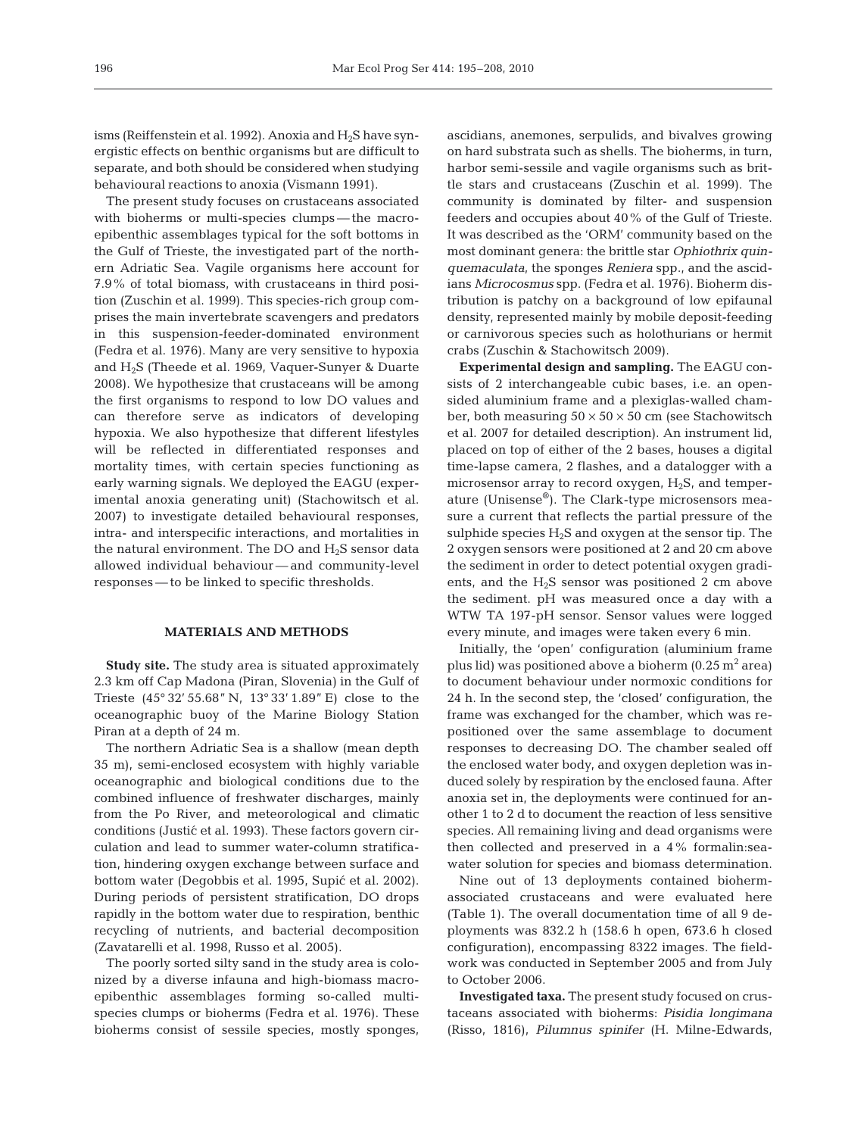isms (Reiffenstein et al. 1992). Anoxia and  $H_2S$  have synergistic effects on benthic organisms but are difficult to separate, and both should be considered when studying behavioural reactions to anoxia (Vismann 1991).

The present study focuses on crustaceans associated with bioherms or multi-species clumps — the macroepibenthic assemblages typical for the soft bottoms in the Gulf of Trieste, the investigated part of the northern Adriatic Sea. Vagile organisms here account for 7.9% of total biomass, with crustaceans in third position (Zuschin et al. 1999). This species-rich group comprises the main invertebrate scavengers and predators in this suspension-feeder-dominated environment (Fedra et al. 1976). Many are very sensitive to hypoxia and H2S (Theede et al. 1969, Vaquer-Sunyer & Duarte 2008). We hypothesize that crustaceans will be among the first organisms to respond to low DO values and can therefore serve as indicators of developing hypoxia. We also hypothesize that different lifestyles will be reflected in differentiated responses and mortality times, with certain species functioning as early warning signals. We deployed the EAGU (experimental anoxia generating unit) (Stachowitsch et al. 2007) to investigate detailed behavioural responses, intra- and interspecific interactions, and mortalities in the natural environment. The DO and  $H_2S$  sensor data allowed individual behaviour — and community-level responses — to be linked to specific thresholds.

## **MATERIALS AND METHODS**

**Study site.** The study area is situated approximately 2.3 km off Cap Madona (Piran, Slovenia) in the Gulf of Trieste (45° 32' 55.68" N, 13° 33' 1.89" E) close to the oceanographic buoy of the Marine Biology Station Piran at a depth of 24 m.

The northern Adriatic Sea is a shallow (mean depth 35 m), semi-enclosed ecosystem with highly variable oceanographic and biological conditions due to the combined influence of freshwater discharges, mainly from the Po River, and meteorological and climatic conditions (Justić et al. 1993). These factors govern circulation and lead to summer water-column stratification, hindering oxygen exchange between surface and bottom water (Degobbis et al. 1995, Supić et al. 2002). During periods of persistent stratification, DO drops rapidly in the bottom water due to respiration, benthic recycling of nutrients, and bacterial decomposition (Zavatarelli et al. 1998, Russo et al. 2005).

The poorly sorted silty sand in the study area is colonized by a diverse infauna and high-biomass macroepibenthic assemblages forming so-called multispecies clumps or bioherms (Fedra et al. 1976). These bioherms consist of sessile species, mostly sponges, ascidians, anemones, serpulids, and bivalves growing on hard substrata such as shells. The bioherms, in turn, harbor semi-sessile and vagile organisms such as brittle stars and crustaceans (Zuschin et al. 1999). The community is dominated by filter- and suspension feeders and occupies about 40% of the Gulf of Trieste. It was described as the 'ORM' community based on the most dominant genera: the brittle star *Ophiothrix quinquemaculata*, the sponges *Reniera* spp., and the ascidians *Microcosmus* spp. (Fedra et al. 1976). Bioherm distribution is patchy on a background of low epifaunal density, represented mainly by mobile deposit-feeding or carnivorous species such as holothurians or hermit crabs (Zuschin & Stachowitsch 2009).

**Experimental design and sampling.** The EAGU consists of 2 interchangeable cubic bases, i.e. an opensided aluminium frame and a plexiglas-walled chamber, both measuring  $50 \times 50 \times 50$  cm (see Stachowitsch et al. 2007 for detailed description). An instrument lid, placed on top of either of the 2 bases, houses a digital time-lapse camera, 2 flashes, and a datalogger with a microsensor array to record oxygen, H2S, and temperature (Unisense®). The Clark-type microsensors measure a current that reflects the partial pressure of the sulphide species  $H_2S$  and oxygen at the sensor tip. The 2 oxygen sensors were positioned at 2 and 20 cm above the sediment in order to detect potential oxygen gradients, and the  $H_2S$  sensor was positioned 2 cm above the sediment. pH was measured once a day with a WTW TA 197-pH sensor. Sensor values were logged every minute, and images were taken every 6 min.

Initially, the 'open' configuration (aluminium frame plus lid) was positioned above a bioherm  $(0.25 \text{ m}^2 \text{ area})$ to document behaviour under normoxic conditions for 24 h. In the second step, the 'closed' configuration, the frame was exchanged for the chamber, which was repositioned over the same assemblage to document responses to decreasing DO. The chamber sealed off the enclosed water body, and oxygen depletion was induced solely by respiration by the enclosed fauna. After anoxia set in, the deployments were continued for another 1 to 2 d to document the reaction of less sensitive species. All remaining living and dead organisms were then collected and preserved in a 4% formalin:seawater solution for species and biomass determination.

Nine out of 13 deployments contained biohermassociated crustaceans and were evaluated here (Table 1). The overall documentation time of all 9 deployments was 832.2 h (158.6 h open, 673.6 h closed configuration), encompassing 8322 images. The fieldwork was conducted in September 2005 and from July to October 2006.

**Investigated taxa.** The present study focused on crustaceans associated with bioherms: *Pisidia longimana* (Risso, 1816), *Pilumnus spinifer* (H. Milne-Edwards,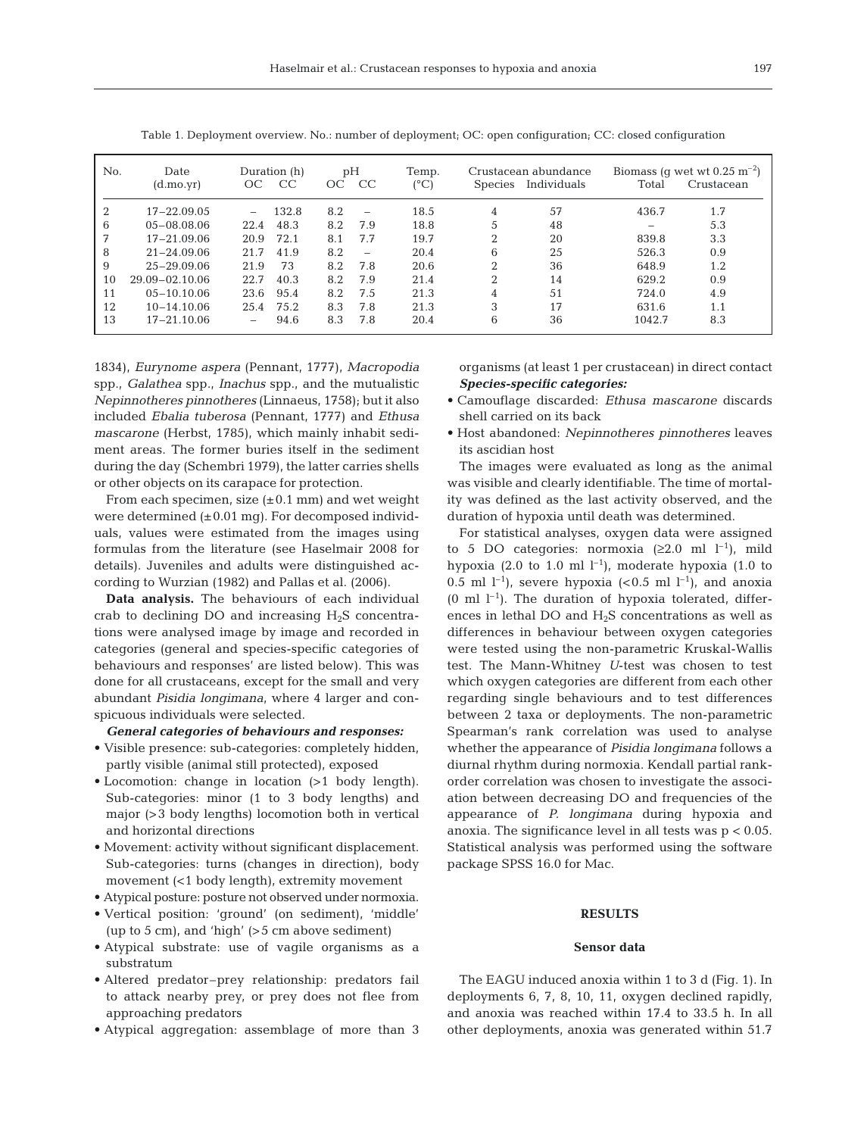| I |  |
|---|--|

| No. | Date<br>(d.mo.yr)  | Duration (h)<br>CC<br>ОC          | pH<br>CC<br>OC                  | Temp.<br>(°C) | Crustacean abundance<br>Individuals<br><b>Species</b> | Biomass (q wet wt 0.25 m <sup>-2</sup> )<br>Total<br>Crustacean |  |
|-----|--------------------|-----------------------------------|---------------------------------|---------------|-------------------------------------------------------|-----------------------------------------------------------------|--|
|     |                    |                                   |                                 |               |                                                       |                                                                 |  |
| 2   | 17-22.09.05        | 132.8<br>$\overline{\phantom{0}}$ | 8.2<br>$\overline{\phantom{0}}$ | 18.5          | 57<br>4                                               | 436.7<br>1.7                                                    |  |
| 6   | $0.5 - 0.808.06$   | 48.3<br>22.4                      | 8.2<br>7.9                      | 18.8          | 5<br>48                                               | 5.3                                                             |  |
|     | $17 - 21.09.06$    | 20.9<br>72.1                      | 8.1<br>7.7                      | 19.7          | $\overline{2}$<br>20                                  | 3.3<br>839.8                                                    |  |
| 8   | $21 - 24.09.06$    | 21.7<br>41.9                      | 8.2                             | 20.4          | 6<br>25                                               | 0.9<br>526.3                                                    |  |
| 9   | $25 - 29.09.06$    | 21.9<br>73                        | 8.2<br>7.8                      | 20.6          | $\overline{2}$<br>36                                  | 648.9<br>1.2                                                    |  |
| 10  | $29.09 - 02.10.06$ | 22.7<br>40.3                      | 8.2<br>7.9                      | 21.4          | $\overline{2}$<br>14                                  | 629.2<br>0.9                                                    |  |
| 11  | $0.5 - 10.10.06$   | 23.6<br>95.4                      | 8.2<br>7.5                      | 21.3          | 51<br>4                                               | 724.0<br>4.9                                                    |  |
| 12  | $10 - 14.10.06$    | 75.2<br>25.4                      | 8.3<br>7.8                      | 21.3          | 3<br>17                                               | 631.6<br>1.1                                                    |  |
| 13  | $17 - 21.10.06$    | 94.6<br>-                         | 8.3<br>7.8                      | 20.4          | 6<br>36                                               | 8.3<br>1042.7                                                   |  |

Table 1. Deployment overview. No.: number of deployment; OC: open configuration; CC: closed configuration

1834), *Eurynome aspera* (Pennant, 1777), *Macropodia* spp., *Galathea* spp., *Inachus* spp., and the mutualistic *Nepinnotheres pinnotheres* (Linnaeus, 1758); but it also included *Ebalia tuberosa* (Pennant, 1777) and *Ethusa mascarone* (Herbst, 1785), which mainly inhabit sediment areas. The former buries itself in the sediment during the day (Schembri 1979), the latter carries shells or other objects on its carapace for protection.

From each specimen, size  $(\pm 0.1 \text{ mm})$  and wet weight were determined  $(\pm 0.01 \text{ mg})$ . For decomposed individuals, values were estimated from the images using formulas from the literature (see Haselmair 2008 for details). Juveniles and adults were distinguished according to Wurzian (1982) and Pallas et al. (2006).

**Data analysis.** The behaviours of each individual crab to declining DO and increasing  $H_2S$  concentrations were analysed image by image and recorded in categories (general and species-specific categories of behaviours and responses' are listed below). This was done for all crustaceans, except for the small and very abundant *Pisidia longimana*, where 4 larger and conspicuous individuals were selected.

*General categories of behaviours and responses:*

- Visible presence: sub-categories: completely hidden, partly visible (animal still protected), exposed
- Locomotion: change in location (>1 body length). Sub-categories: minor (1 to 3 body lengths) and major (>3 body lengths) locomotion both in vertical and horizontal directions
- Movement: activity without significant displacement. Sub-categories: turns (changes in direction), body movement (<1 body length), extremity movement

• Atypical posture: posture not observed under normoxia.

- Vertical position: 'ground' (on sediment), 'middle' (up to 5 cm), and 'high' (>5 cm above sediment)
- Atypical substrate: use of vagile organisms as a substratum
- Altered predator–prey relationship: predators fail to attack nearby prey, or prey does not flee from approaching predators
- Atypical aggregation: assemblage of more than 3

organisms (at least 1 per crustacean) in direct contact *Species-specific categories:*

- Camouflage discarded: *Ethusa mascarone* discards shell carried on its back
- Host abandoned: *Nepinnotheres pinnotheres* leaves its ascidian host

The images were evaluated as long as the animal was visible and clearly identifiable. The time of mortality was defined as the last activity observed, and the duration of hypoxia until death was determined.

For statistical analyses, oxygen data were assigned to 5 DO categories: normoxia  $(22.0 \text{ ml } l^{-1})$ , mild hypoxia (2.0 to 1.0 ml  $l^{-1}$ ), moderate hypoxia (1.0 to 0.5 ml  $l^{-1}$ ), severe hypoxia (<0.5 ml  $l^{-1}$ ), and anoxia  $(0 \text{ ml } l^{-1})$ . The duration of hypoxia tolerated, differences in lethal DO and H2S concentrations as well as differences in behaviour between oxygen categories were tested using the non-parametric Kruskal-Wallis test. The Mann-Whitney *U*-test was chosen to test which oxygen categories are different from each other regarding single behaviours and to test differences between 2 taxa or deployments. The non-parametric Spearman's rank correlation was used to analyse whether the appearance of *Pisidia longimana* follows a diurnal rhythm during normoxia. Kendall partial rankorder correlation was chosen to investigate the association between decreasing DO and frequencies of the appearance of *P. longimana* during hypoxia and anoxia. The significance level in all tests was  $p < 0.05$ . Statistical analysis was performed using the software package SPSS 16.0 for Mac.

# **RESULTS**

# **Sensor data**

The EAGU induced anoxia within 1 to 3 d (Fig. 1). In deployments 6, 7, 8, 10, 11, oxygen declined rapidly, and anoxia was reached within 17.4 to 33.5 h. In all other deployments, anoxia was generated within 51.7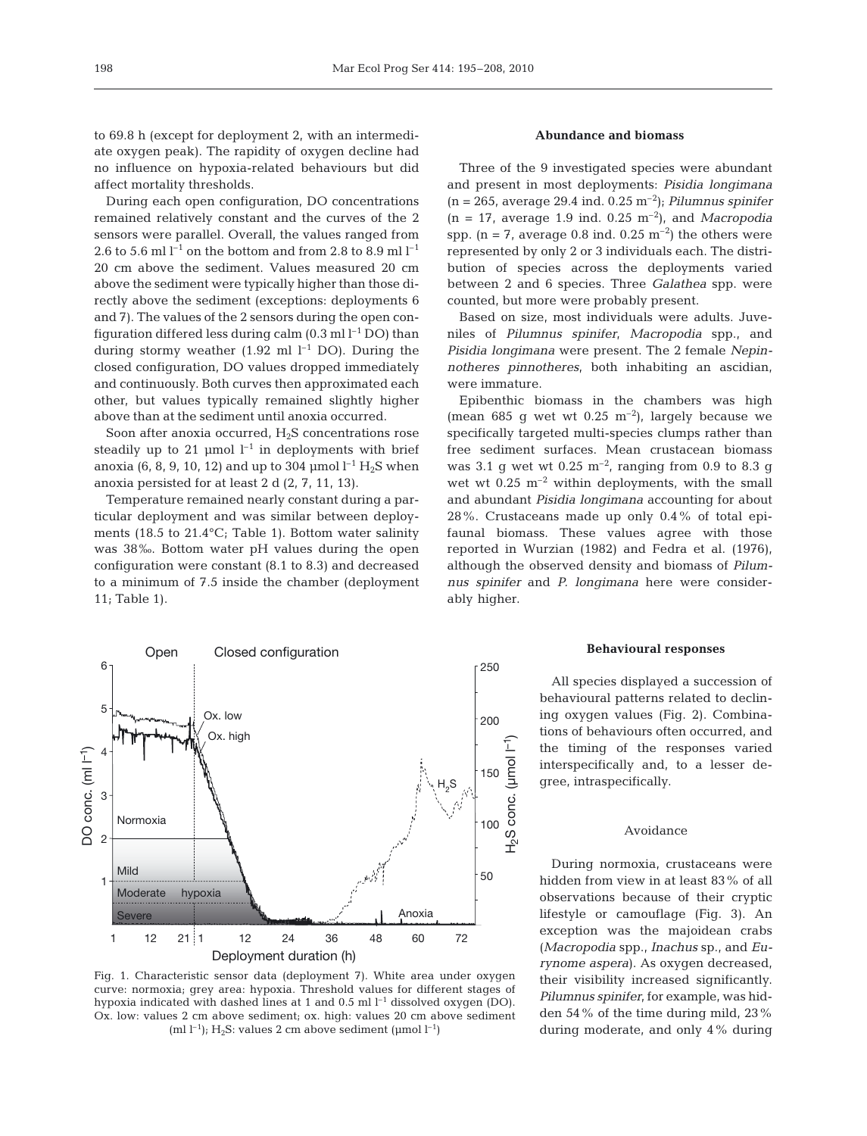to 69.8 h (except for deployment 2, with an intermediate oxygen peak). The rapidity of oxygen decline had no influence on hypoxia-related behaviours but did affect mortality thresholds.

During each open configuration, DO concentrations remained relatively constant and the curves of the 2 sensors were parallel. Overall, the values ranged from 2.6 to 5.6 ml  $l^{-1}$  on the bottom and from 2.8 to 8.9 ml  $l^{-1}$ 20 cm above the sediment. Values measured 20 cm above the sediment were typically higher than those directly above the sediment (exceptions: deployments 6 and 7). The values of the 2 sensors during the open configuration differed less during calm  $(0.3 \text{ ml } l^{-1}$  DO) than during stormy weather (1.92 ml  $l^{-1}$  DO). During the closed configuration, DO values dropped immediately and continuously. Both curves then approximated each other, but values typically remained slightly higher above than at the sediment until anoxia occurred.

Soon after anoxia occurred,  $H_2S$  concentrations rose steadily up to 21 µmol  $l^{-1}$  in deployments with brief anoxia (6, 8, 9, 10, 12) and up to 304 µmol  $l^{-1}$  H<sub>2</sub>S when anoxia persisted for at least 2 d (2, 7, 11, 13).

Temperature remained nearly constant during a particular deployment and was similar between deployments (18.5 to 21.4°C; Table 1). Bottom water salinity was 38‰. Bottom water pH values during the open configuration were constant (8.1 to 8.3) and decreased to a minimum of 7.5 inside the chamber (deployment 11; Table 1).



Fig. 1. Characteristic sensor data (deployment 7). White area under oxygen curve: normoxia; grey area: hypoxia. Threshold values for different stages of hypoxia indicated with dashed lines at 1 and 0.5 ml  $l^{-1}$  dissolved oxygen (DO). Ox. low: values 2 cm above sediment; ox. high: values 20 cm above sediment (ml  $l^{-1}$ ); H<sub>2</sub>S: values 2 cm above sediment (µmol  $l^{-1}$ )

## **Abundance and biomass**

Three of the 9 investigated species were abundant and present in most deployments: *Pisidia longimana*  $(n = 265, \text{ average } 29.4 \text{ ind. } 0.25 \text{ m}^{-2})$ ; *Pilumnus spinifer*  $(n = 17, \text{ average } 1.9 \text{ ind. } 0.25 \text{ m}^{-2})$ , and *Macropodia* spp. (n = 7, average 0.8 ind. 0.25  $\text{m}^{-2}$ ) the others were represented by only 2 or 3 individuals each. The distribution of species across the deployments varied between 2 and 6 species. Three *Galathea* spp. were counted, but more were probably present.

Based on size, most individuals were adults. Juveniles of *Pilumnus spinifer*, *Macropodia* spp., and *Pisidia longimana* were present. The 2 female *Nepinnotheres pinnotheres*, both inhabiting an ascidian, were immature.

Epibenthic biomass in the chambers was high (mean 685 g wet wt 0.25  $\mathrm{m}^{-2}$ ), largely because we specifically targeted multi-species clumps rather than free sediment surfaces. Mean crustacean biomass was 3.1 g wet wt 0.25  $\mathrm{m}^{-2}$ , ranging from 0.9 to 8.3 g wet wt  $0.25 \text{ m}^{-2}$  within deployments, with the small and abundant *Pisidia longimana* accounting for about 28%. Crustaceans made up only 0.4% of total epifaunal biomass. These values agree with those reported in Wurzian (1982) and Fedra et al. (1976), although the observed density and biomass of *Pilumnus spinifer* and *P. longimana* here were considerably higher.

#### **Behavioural responses**

All species displayed a succession of behavioural patterns related to declining oxygen values (Fig. 2). Combinations of behaviours often occurred, and the timing of the responses varied interspecifically and, to a lesser degree, intraspecifically.

## Avoidance

During normoxia, crustaceans were hidden from view in at least 83% of all observations because of their cryptic lifestyle or camouflage (Fig. 3). An exception was the majoidean crabs (*Macropodia* spp., *Inachus* sp., and *Eurynome aspera*). As oxygen decreased, their visibility increased significantly. *Pilumnus spinifer*, for example, was hidden 54% of the time during mild, 23% during moderate, and only 4% during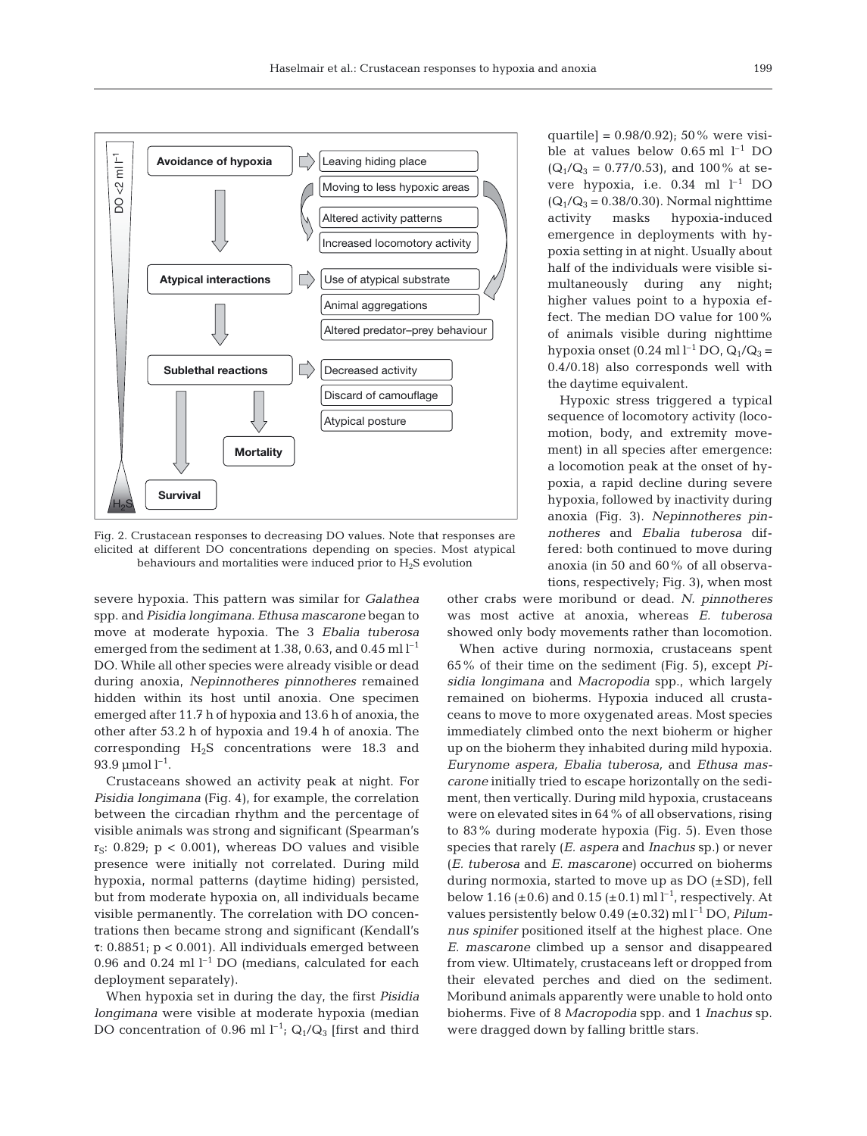

Fig. 2. Crustacean responses to decreasing DO values. Note that responses are elicited at different DO concentrations depending on species. Most atypical behaviours and mortalities were induced prior to  $H_2S$  evolution

severe hypoxia. This pattern was similar for *Galathea* spp. and *Pisidia longimana*. *Ethusa mascarone* began to move at moderate hypoxia. The 3 *Ebalia tuberosa* emerged from the sediment at 1.38, 0.63, and 0.45 ml  $l^{-1}$ DO. While all other species were already visible or dead during anoxia, *Nepinnotheres pinnotheres* remained hidden within its host until anoxia. One specimen emerged after 11.7 h of hypoxia and 13.6 h of anoxia, the other after 53.2 h of hypoxia and 19.4 h of anoxia. The corresponding  $H_2S$  concentrations were 18.3 and 93.9  $\mu$ mol  $l^{-1}$ .

Crustaceans showed an activity peak at night. For *Pisidia longimana* (Fig. 4), for example, the correlation between the circadian rhythm and the percentage of visible animals was strong and significant (Spearman's  $r<sub>S</sub>: 0.829; p < 0.001$ , whereas DO values and visible presence were initially not correlated. During mild hypoxia, normal patterns (daytime hiding) persisted, but from moderate hypoxia on, all individuals became visible permanently. The correlation with DO concentrations then became strong and significant (Kendall's τ: 0.8851; p < 0.001). All individuals emerged between 0.96 and 0.24 ml  $l^{-1}$  DO (medians, calculated for each deployment separately).

When hypoxia set in during the day, the first *Pisidia longimana* were visible at moderate hypoxia (median DO concentration of 0.96 ml  $l^{-1}$ ;  $Q_1/Q_3$  [first and third

quartile] =  $0.98/0.92$ ); 50% were visible at values below  $0.65$  ml  $l^{-1}$  DO  $(Q_1/Q_3 = 0.77/0.53)$ , and 100% at severe hypoxia, i.e.  $0.34$  ml  $l^{-1}$  DO  $(Q_1/Q_3 = 0.38/0.30)$ . Normal nighttime activity masks hypoxia-induced emergence in deployments with hypoxia setting in at night. Usually about half of the individuals were visible simultaneously during any night; higher values point to a hypoxia effect. The median DO value for 100% of animals visible during nighttime hypoxia onset (0.24 ml  $l^{-1}$  DO,  $Q_1/Q_3$  = 0.4/0.18) also corresponds well with the daytime equivalent.

Hypoxic stress triggered a typical sequence of locomotory activity (locomotion, body, and extremity movement) in all species after emergence: a locomotion peak at the onset of hypoxia, a rapid decline during severe hypoxia, followed by inactivity during anoxia (Fig. 3). *Nepinnotheres pinnotheres* and *Ebalia tuberosa* differed: both continued to move during anoxia (in 50 and 60% of all observations, respectively; Fig. 3), when most

other crabs were moribund or dead. *N. pinnotheres* was most active at anoxia, whereas *E. tuberosa* showed only body movements rather than locomotion.

When active during normoxia, crustaceans spent 65% of their time on the sediment (Fig. 5), except *Pisidia longimana* and *Macropodia* spp., which largely remained on bioherms. Hypoxia induced all crustaceans to move to more oxygenated areas. Most species immediately climbed onto the next bioherm or higher up on the bioherm they inhabited during mild hypoxia. *Eurynome aspera, Ebalia tuberosa,* and *Ethusa mascarone* initially tried to escape horizontally on the sediment, then vertically. During mild hypoxia, crustaceans were on elevated sites in 64% of all observations, rising to 83% during moderate hypoxia (Fig. 5). Even those species that rarely (*E. aspera* and *Inachus* sp.) or never (*E. tuberosa* and *E. mascarone)* occurred on bioherms during normoxia, started to move up as  $DO$  ( $\pm SD$ ), fell below 1.16 ( $\pm$ 0.6) and 0.15 ( $\pm$ 0.1) ml l<sup>-1</sup>, respectively. At values persistently below  $0.49 \ (\pm 0.32)$  ml  $l^{-1}$  DO, *Pilumnus spinifer* positioned itself at the highest place. One *E. mascarone* climbed up a sensor and disappeared from view. Ultimately, crustaceans left or dropped from their elevated perches and died on the sediment. Moribund animals apparently were unable to hold onto bioherms. Five of 8 *Macropodia* spp. and 1 *Inachus* sp. were dragged down by falling brittle stars.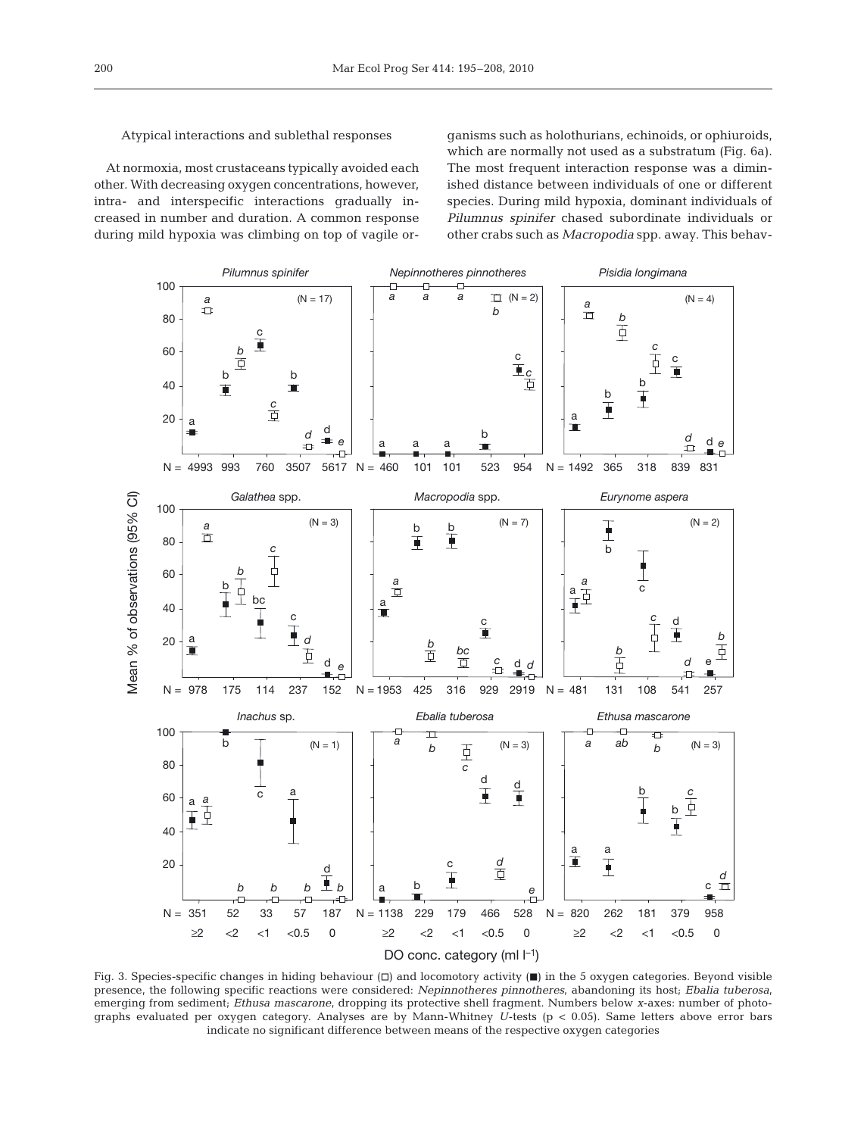# Atypical interactions and sublethal responses

At normoxia, most crustaceans typically avoided each other. With decreasing oxygen concentrations, however, intra- and interspecific interactions gradually increased in number and duration. A common response during mild hypoxia was climbing on top of vagile or-

ganisms such as holothurians, echinoids, or ophiuroids, which are normally not used as a substratum (Fig. 6a). The most frequent interaction response was a diminished distance between individuals of one or different species. During mild hypoxia, dominant individuals of *Pilumnus spinifer* chased subordinate individuals or other crabs such as *Macropodia* spp. away. This behav-



Fig. 3. Species-specific changes in hiding behaviour  $(\Box)$  and locomotory activity ( $\blacksquare$ ) in the 5 oxygen categories. Beyond visible presence, the following specific reactions were considered: *Nepinnotheres pinnotheres*, abandoning its host; *Ebalia tuberosa*, emerging from sediment; *Ethusa mascarone*, dropping its protective shell fragment. Numbers below *x*-axes: number of photographs evaluated per oxygen category. Analyses are by Mann-Whitney *U*-tests (p < 0.05). Same letters above error bars indicate no significant difference between means of the respective oxygen categories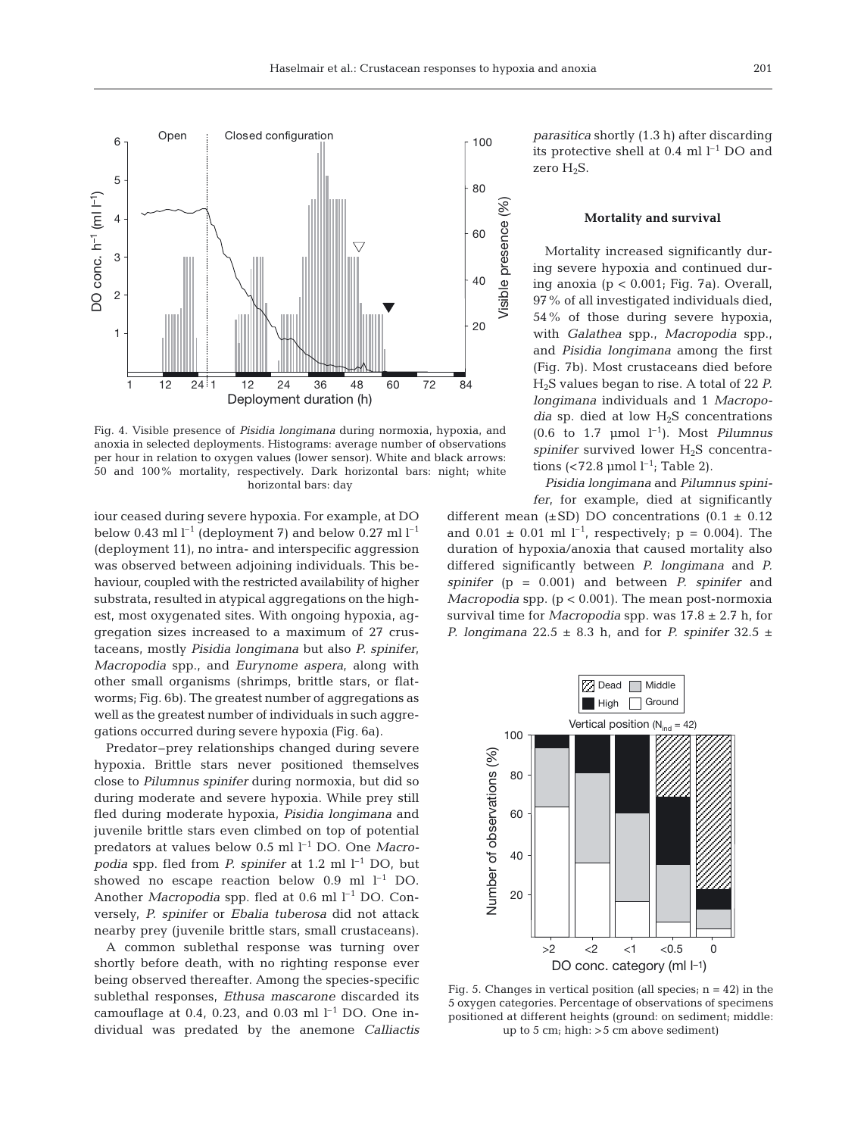

Fig. 4. Visible presence of *Pisidia longimana* during normoxia, hypoxia, and anoxia in selected deployments. Histograms: average number of observations per hour in relation to oxygen values (lower sensor). White and black arrows: 50 and 100% mortality, respectively. Dark horizontal bars: night; white horizontal bars: day

iour ceased during severe hypoxia. For example, at DO below 0.43 ml  $l^{-1}$  (deployment 7) and below 0.27 ml  $l^{-1}$ (deployment 11), no intra- and interspecific aggression was observed between adjoining individuals. This behaviour, coupled with the restricted availability of higher substrata, resulted in atypical aggregations on the highest, most oxygenated sites. With ongoing hypoxia, aggregation sizes increased to a maximum of 27 crustaceans, mostly *Pisidia longimana* but also *P. spinifer*, *Macropodia* spp., and *Eurynome aspera*, along with other small organisms (shrimps, brittle stars, or flatworms; Fig. 6b). The greatest number of aggregations as well as the greatest number of individuals in such aggregations occurred during severe hypoxia (Fig. 6a).

Predator–prey relationships changed during severe hypoxia. Brittle stars never positioned themselves close to *Pilumnus spinifer* during normoxia, but did so during moderate and severe hypoxia. While prey still fled during moderate hypoxia, *Pisidia longimana* and juvenile brittle stars even climbed on top of potential predators at values below 0.5 ml l–1 DO. One *Macropodia* spp. fled from *P. spinifer* at 1.2 ml  $l^{-1}$  DO, but showed no escape reaction below  $0.9$  ml  $l^{-1}$  DO. Another *Macropodia* spp. fled at  $0.6$  ml  $l^{-1}$  DO. Conversely, *P. spinifer* or *Ebalia tuberosa* did not attack nearby prey (juvenile brittle stars, small crustaceans).

A common sublethal response was turning over shortly before death, with no righting response ever being observed thereafter. Among the species-specific sublethal responses, *Ethusa mascarone* discarded its camouflage at 0.4, 0.23, and 0.03 ml  $l^{-1}$  DO. One individual was predated by the anemone *Calliactis* *parasitica* shortly (1.3 h) after discarding its protective shell at  $0.4$  ml  $l^{-1}$  DO and zero H<sub>2</sub>S.

#### **Mortality and survival**

Mortality increased significantly during severe hypoxia and continued during anoxia ( $p < 0.001$ ; Fig. 7a). Overall, 97% of all investigated individuals died, 54% of those during severe hypoxia, with *Galathea* spp., *Macropodia* spp., and *Pisidia longimana* among the first (Fig. 7b). Most crustaceans died before H2S values began to rise. A total of 22 *P. longimana* individuals and 1 *Macropodia* sp. died at low  $H_2S$  concentrations (0.6 to 1.7  $\mu$ mol  $l^{-1}$ ). Most *Pilumnus spinifer* survived lower H<sub>2</sub>S concentrations (<72.8  $\mu$ mol l<sup>-1</sup>; Table 2).

*Pisidia longimana* and *Pilumnus spinifer*, for example, died at significantly

different mean  $(\pm SD)$  DO concentrations  $(0.1 \pm 0.12)$ and  $0.01 \pm 0.01$  ml  $l^{-1}$ , respectively; p = 0.004). The duration of hypoxia/anoxia that caused mortality also differed significantly between *P. longimana* and *P. spinifer* (p = 0.001) and between *P. spinifer* and *Macropodia* spp. (p < 0.001). The mean post-normoxia survival time for *Macropodia* spp. was 17.8 ± 2.7 h, for *P. longimana* 22.5 ± 8.3 h, and for *P. spinifer* 32.5 ±



Fig. 5. Changes in vertical position (all species;  $n = 42$ ) in the 5 oxygen categories. Percentage of observations of specimens positioned at different heights (ground: on sediment; middle: up to 5 cm; high: >5 cm above sediment)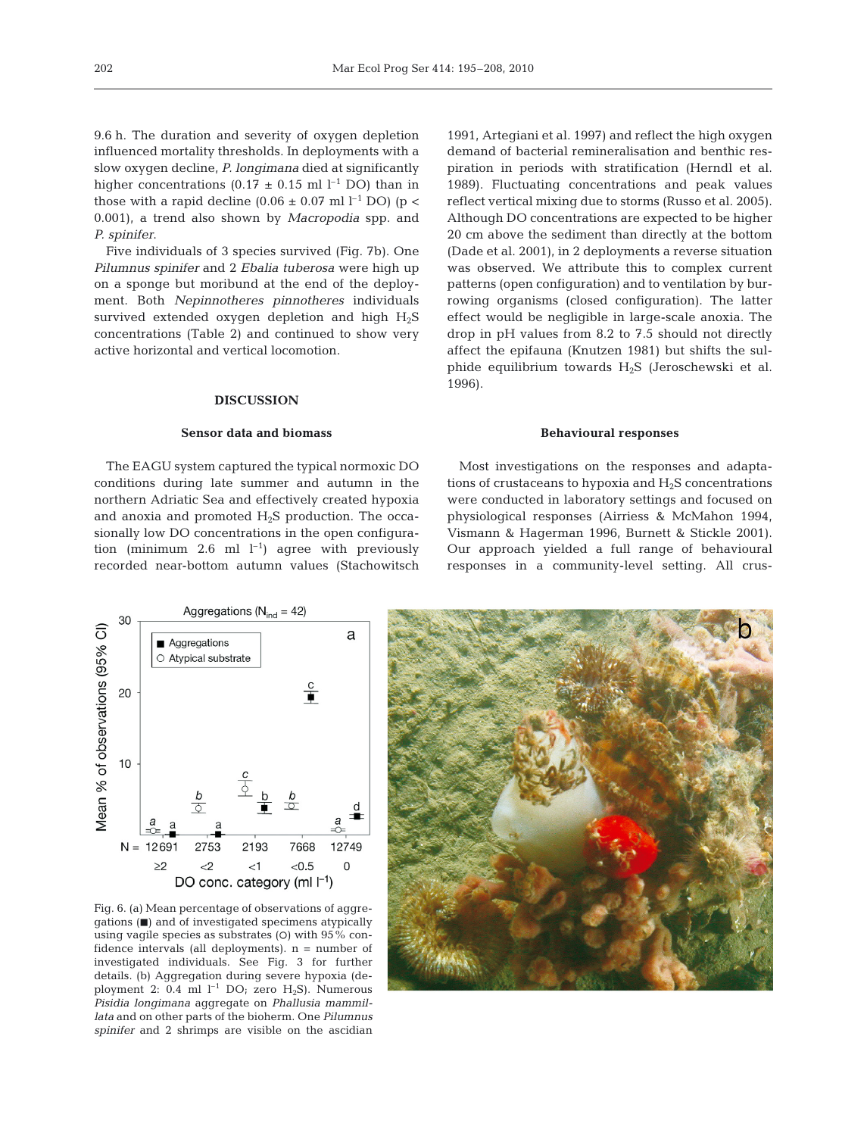9.6 h. The duration and severity of oxygen depletion influenced mortality thresholds. In deployments with a slow oxygen decline, *P. longimana* died at significantly higher concentrations (0.17  $\pm$  0.15 ml l<sup>-1</sup> DO) than in those with a rapid decline  $(0.06 \pm 0.07 \text{ ml l}^{-1} \text{ DO})$  (p < 0.001), a trend also shown by *Macropodia* spp. and *P. spinifer*.

Five individuals of 3 species survived (Fig. 7b). One *Pilumnus spinifer* and 2 *Ebalia tuberosa* were high up on a sponge but moribund at the end of the deployment. Both *Nepinnotheres pinnotheres* individuals survived extended oxygen depletion and high  $H_2S$ concentrations (Table 2) and continued to show very active horizontal and vertical locomotion.

## **DISCUSSION**

#### **Sensor data and biomass**

The EAGU system captured the typical normoxic DO conditions during late summer and autumn in the northern Adriatic Sea and effectively created hypoxia and anoxia and promoted  $H_2S$  production. The occasionally low DO concentrations in the open configuration (minimum 2.6 ml  $l^{-1}$ ) agree with previously recorded near-bottom autumn values (Stachowitsch

1991, Artegiani et al. 1997) and reflect the high oxygen demand of bacterial remineralisation and benthic respiration in periods with stratification (Herndl et al. 1989). Fluctuating concentrations and peak values reflect vertical mixing due to storms (Russo et al. 2005). Although DO concentrations are expected to be higher 20 cm above the sediment than directly at the bottom (Dade et al. 2001), in 2 deployments a reverse situation was observed. We attribute this to complex current patterns (open configuration) and to ventilation by burrowing organisms (closed configuration). The latter effect would be negligible in large-scale anoxia. The drop in pH values from 8.2 to 7.5 should not directly affect the epifauna (Knutzen 1981) but shifts the sulphide equilibrium towards H2S (Jeroschewski et al. 1996).

#### **Behavioural responses**

Most investigations on the responses and adaptations of crustaceans to hypoxia and  $H_2S$  concentrations were conducted in laboratory settings and focused on physiological responses (Airriess & McMahon 1994, Vismann & Hagerman 1996, Burnett & Stickle 2001). Our approach yielded a full range of behavioural responses in a community-level setting. All crus-



Fig. 6. (a) Mean percentage of observations of aggre $gations$  ( $\blacksquare$ ) and of investigated specimens atypically using vagile species as substrates (O) with  $95\%$  confidence intervals (all deployments). n = number of investigated individuals. See Fig. 3 for further details. (b) Aggregation during severe hypoxia (deployment 2: 0.4 ml  $l^{-1}$  DO; zero H<sub>2</sub>S). Numerous *Pisidia longimana* aggregate on *Phallusia mammillata* and on other parts of the bioherm. One *Pilumnus spinifer* and 2 shrimps are visible on the ascidian

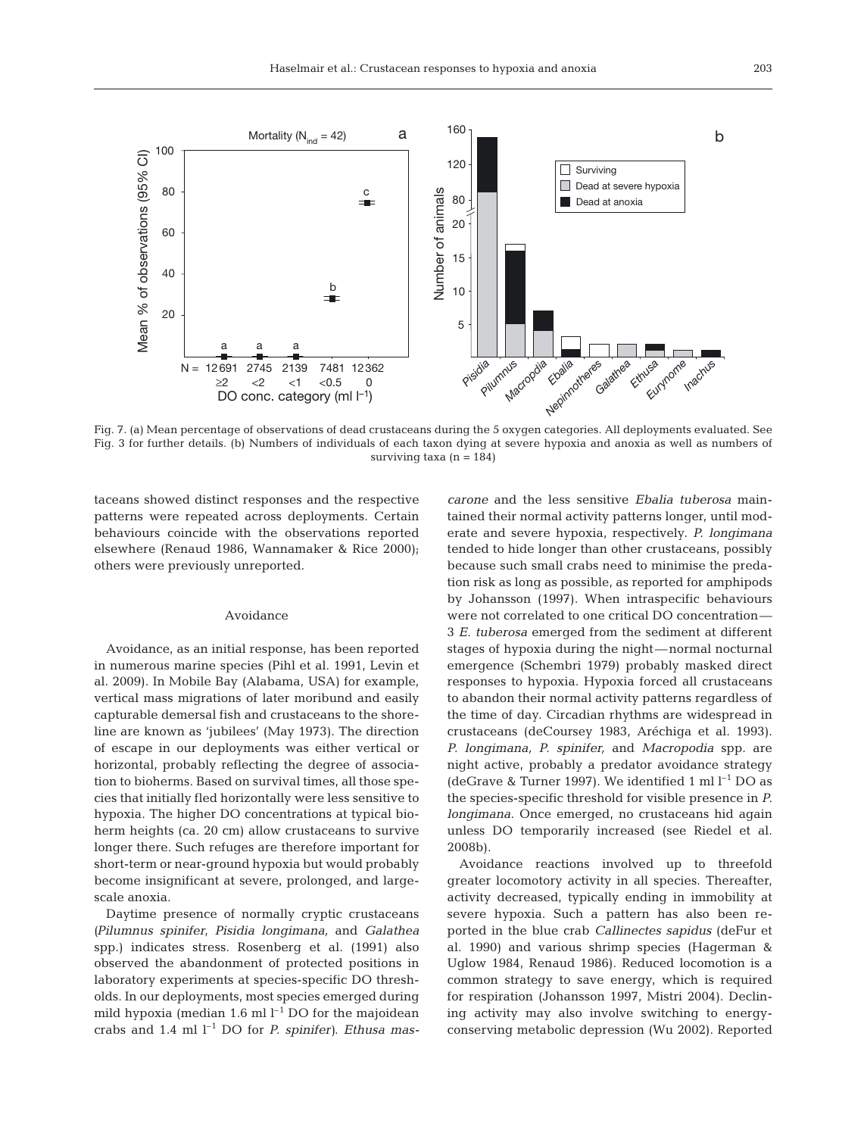

Fig. 7. (a) Mean percentage of observations of dead crustaceans during the 5 oxygen categories. All deployments evaluated. See Fig. 3 for further details. (b) Numbers of individuals of each taxon dying at severe hypoxia and anoxia as well as numbers of surviving taxa  $(n = 184)$ 

taceans showed distinct responses and the respective patterns were repeated across deployments. Certain behaviours coincide with the observations reported elsewhere (Renaud 1986, Wannamaker & Rice 2000); others were previously unreported.

## Avoidance

Avoidance, as an initial response, has been reported in numerous marine species (Pihl et al. 1991, Levin et al. 2009). In Mobile Bay (Alabama, USA) for example, vertical mass migrations of later moribund and easily capturable demersal fish and crustaceans to the shoreline are known as 'jubilees' (May 1973). The direction of escape in our deployments was either vertical or horizontal, probably reflecting the degree of association to bioherms. Based on survival times, all those species that initially fled horizontally were less sensitive to hypoxia. The higher DO concentrations at typical bioherm heights (ca. 20 cm) allow crustaceans to survive longer there. Such refuges are therefore important for short-term or near-ground hypoxia but would probably become insignificant at severe, prolonged, and largescale anoxia.

Daytime presence of normally cryptic crustaceans *(Pilumnus spinifer*, *Pisidia longimana,* and *Galathea* spp.) indicates stress. Rosenberg et al. (1991) also observed the abandonment of protected positions in laboratory experiments at species-specific DO thresholds. In our deployments, most species emerged during mild hypoxia (median 1.6 ml  $l^{-1}$  DO for the majoidean crabs and 1.4 ml l–1 DO for *P. spinifer)*. *Ethusa mas-* *carone* and the less sensitive *Ebalia tuberosa* maintained their normal activity patterns longer, until moderate and severe hypoxia, respectively. *P. longimana* tended to hide longer than other crustaceans, possibly because such small crabs need to minimise the predation risk as long as possible, as reported for amphipods by Johansson (1997). When intraspecific behaviours were not correlated to one critical DO concentration— 3 *E. tuberosa* emerged from the sediment at different stages of hypoxia during the night—normal nocturnal emergence (Schembri 1979) probably masked direct responses to hypoxia. Hypoxia forced all crustaceans to abandon their normal activity patterns regardless of the time of day. Circadian rhythms are widespread in crustaceans (deCoursey 1983, Aréchiga et al. 1993). *P. longimana, P. spinifer,* and *Macropodia* spp. are night active, probably a predator avoidance strategy (deGrave & Turner 1997). We identified 1 ml  $l^{-1}$  DO as the species-specific threshold for visible presence in *P. longimana*. Once emerged, no crustaceans hid again unless DO temporarily increased (see Riedel et al. 2008b).

Avoidance reactions involved up to threefold greater locomotory activity in all species. Thereafter, activity decreased, typically ending in immobility at severe hypoxia. Such a pattern has also been reported in the blue crab *Callinectes sapidus* (deFur et al. 1990) and various shrimp species (Hagerman & Uglow 1984, Renaud 1986). Reduced locomotion is a common strategy to save energy, which is required for respiration (Johansson 1997, Mistri 2004). Declining activity may also involve switching to energyconserving metabolic depression (Wu 2002). Reported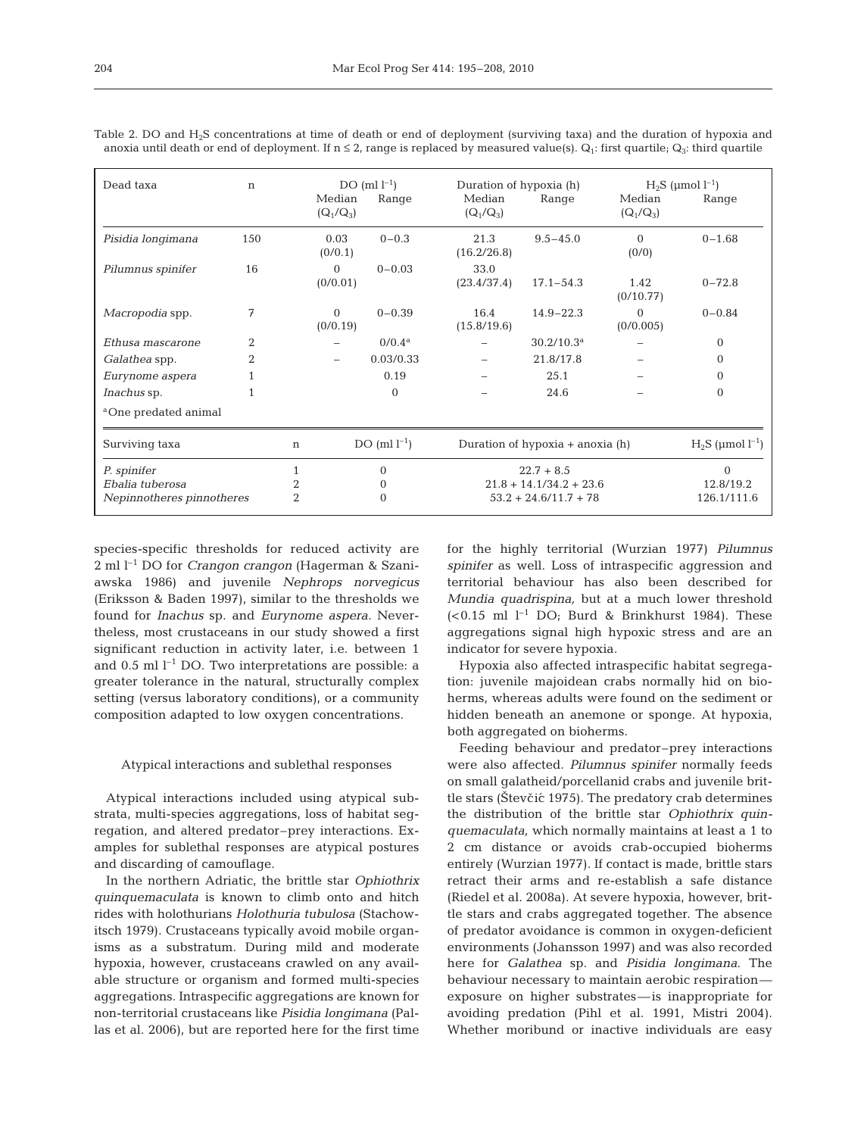| Dead taxa<br>$\mathbf n$                     |                |                                    | DO ${\rm (mll^{-1})}$ |                 | Duration of hypoxia (h)   |               | $H_2S \; (\text{µmol l}^{-1})$ |            |
|----------------------------------------------|----------------|------------------------------------|-----------------------|-----------------|---------------------------|---------------|--------------------------------|------------|
|                                              |                |                                    | Median<br>$(Q_1/Q_3)$ | Range           | Median<br>$(Q_1/Q_3)$     | Range         | Median<br>$(Q_1/Q_3)$          | Range      |
| Pisidia longimana                            | 150            |                                    | 0.03<br>(0/0.1)       | $0 - 0.3$       | 21.3<br>(16.2/26.8)       | $9.5 - 45.0$  | $\Omega$<br>(0/0)              | $0 - 1.68$ |
| Pilumnus spinifer                            | 16             |                                    | $\Omega$<br>(0/0.01)  | $0 - 0.03$      | 33.0<br>(23.4/37.4)       | $17.1 - 54.3$ | 1.42<br>(0/10.77)              | $0 - 72.8$ |
| Macropodia spp.                              | 7              |                                    | $\Omega$<br>(0/0.19)  | $0 - 0.39$      | 16.4<br>(15.8/19.6)       | $14.9 - 22.3$ | $\Omega$<br>(0/0.005)          | $0 - 0.84$ |
| Ethusa mascarone                             | $\overline{2}$ |                                    |                       | $0/0.4^{\rm a}$ |                           | $30.2/10.3^a$ |                                | $\Omega$   |
| Galathea spp.                                | $\overline{2}$ |                                    |                       | 0.03/0.33       |                           | 21.8/17.8     |                                | $\Omega$   |
| Eurynome aspera                              |                |                                    |                       | 0.19            |                           | 25.1          |                                | $\Omega$   |
| <i>Inachus</i> sp.                           |                |                                    |                       | $\Omega$        |                           | 24.6          |                                | $\Omega$   |
| <sup>a</sup> One predated animal             |                |                                    |                       |                 |                           |               |                                |            |
| DO ${\rm (mll^{-1})}$<br>Surviving taxa<br>n |                | Duration of hypoxia $+$ anoxia (h) |                       |                 | $H_2S$ (µmol $l^{-1}$ )   |               |                                |            |
| P. spinifer                                  |                | 1                                  |                       | $\Omega$        | $22.7 + 8.5$              |               | $\Omega$                       |            |
| Ebalia tuberosa                              |                | $\overline{2}$                     | 0                     |                 | $21.8 + 14.1/34.2 + 23.6$ |               | 12.8/19.2                      |            |
| Nepinnotheres pinnotheres                    |                | $\overline{2}$                     | $\Omega$              |                 | $53.2 + 24.6/11.7 + 78$   |               | 126.1/111.6                    |            |

Table 2. DO and H<sub>2</sub>S concentrations at time of death or end of deployment (surviving taxa) and the duration of hypoxia and anoxia until death or end of deployment. If  $n \leq 2$ , range is replaced by measured value(s).  $Q_1$ : first quartile;  $Q_3$ : third quartile

species-specific thresholds for reduced activity are 2 ml l–1 DO for *Crangon crangon* (Hagerman & Szaniawska 1986) and juvenile *Nephrops norvegicus* (Eriksson & Baden 1997), similar to the thresholds we found for *Inachus* sp. and *Eurynome aspera.* Nevertheless, most crustaceans in our study showed a first significant reduction in activity later, i.e. between 1 and  $0.5$  ml  $l^{-1}$  DO. Two interpretations are possible: a greater tolerance in the natural, structurally complex setting (versus laboratory conditions), or a community composition adapted to low oxygen concentrations.

#### Atypical interactions and sublethal responses

Atypical interactions included using atypical substrata, multi-species aggregations, loss of habitat segregation, and altered predator–prey interactions. Examples for sublethal responses are atypical postures and discarding of camouflage.

In the northern Adriatic, the brittle star *Ophiothrix quinquemaculata* is known to climb onto and hitch rides with holothurians *Holothuria tubulosa* (Stachowitsch 1979). Crustaceans typically avoid mobile organisms as a substratum. During mild and moderate hypoxia, however, crustaceans crawled on any available structure or organism and formed multi-species aggregations. Intraspecific aggregations are known for non-territorial crustaceans like *Pisidia longimana* (Pallas et al. 2006), but are reported here for the first time

for the highly territorial (Wurzian 1977) *Pilumnus spinifer* as well. Loss of intraspecific aggression and territorial behaviour has also been described for *Mundia quadrispina,* but at a much lower threshold  $( $0.15 \text{ ml } l^{-1}$  DO; Burd & Brinkhurst 1984). These$ aggregations signal high hypoxic stress and are an indicator for severe hypoxia.

Hypoxia also affected intraspecific habitat segregation: juvenile majoidean crabs normally hid on bioherms, whereas adults were found on the sediment or hidden beneath an anemone or sponge. At hypoxia, both aggregated on bioherms.

Feeding behaviour and predator–prey interactions were also affected. *Pilumnus spinifer* normally feeds on small galatheid/porcellanid crabs and juvenile brittle stars (Števčić 1975). The predatory crab determines the distribution of the brittle star *Ophiothrix quinquemaculata*, which normally maintains at least a 1 to 2 cm distance or avoids crab-occupied bioherms entirely (Wurzian 1977). If contact is made, brittle stars retract their arms and re-establish a safe distance (Riedel et al. 2008a). At severe hypoxia, however, brittle stars and crabs aggregated together. The absence of predator avoidance is common in oxygen-deficient environments (Johansson 1997) and was also recorded here for *Galathea* sp. and *Pisidia longimana*. The behaviour necessary to maintain aerobic respiration exposure on higher substrates—is inappropriate for avoiding predation (Pihl et al. 1991, Mistri 2004). Whether moribund or inactive individuals are easy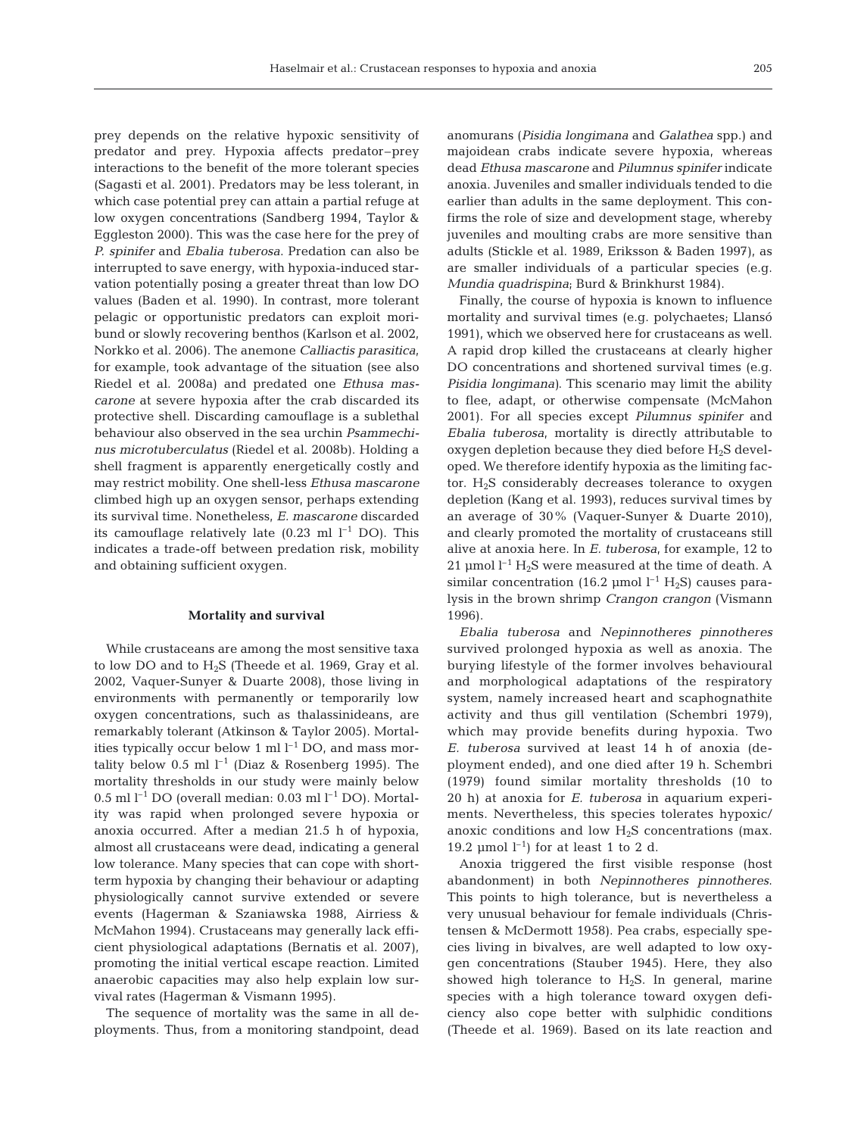prey depends on the relative hypoxic sensitivity of predator and prey. Hypoxia affects predator–prey interactions to the benefit of the more tolerant species (Sagasti et al. 2001). Predators may be less tolerant, in which case potential prey can attain a partial refuge at low oxygen concentrations (Sandberg 1994, Taylor & Eggleston 2000). This was the case here for the prey of *P. spinifer* and *Ebalia tuberosa*. Predation can also be interrupted to save energy, with hypoxia-induced starvation potentially posing a greater threat than low DO values (Baden et al. 1990). In contrast, more tolerant pelagic or opportunistic predators can exploit moribund or slowly recovering benthos (Karlson et al. 2002, Norkko et al. 2006). The anemone *Calliactis parasitica*, for example, took advantage of the situation (see also Riedel et al. 2008a) and predated one *Ethusa mascarone* at severe hypoxia after the crab discarded its protective shell. Discarding camouflage is a sublethal behaviour also observed in the sea urchin *Psammechinus microtuberculatus* (Riedel et al. 2008b). Holding a shell fragment is apparently energetically costly and may restrict mobility. One shell-less *Ethusa mascarone* climbed high up an oxygen sensor, perhaps extending its survival time. Nonetheless, *E. mascarone* discarded its camouflage relatively late  $(0.23 \text{ ml } l^{-1} \text{ DO})$ . This indicates a trade-off between predation risk, mobility and obtaining sufficient oxygen.

## **Mortality and survival**

While crustaceans are among the most sensitive taxa to low DO and to  $H_2S$  (Theede et al. 1969, Gray et al. 2002, Vaquer-Sunyer & Duarte 2008), those living in environments with permanently or temporarily low oxygen concentrations, such as thalassinideans, are remarkably tolerant (Atkinson & Taylor 2005). Mortalities typically occur below 1 ml  $l^{-1}$  DO, and mass mortality below 0.5 ml  $l^{-1}$  (Diaz & Rosenberg 1995). The mortality thresholds in our study were mainly below  $0.5$  ml l<sup>-1</sup> DO (overall median: 0.03 ml l<sup>-1</sup> DO). Mortality was rapid when prolonged severe hypoxia or anoxia occurred. After a median 21.5 h of hypoxia, almost all crustaceans were dead, indicating a general low tolerance. Many species that can cope with shortterm hypoxia by changing their behaviour or adapting physiologically cannot survive extended or severe events (Hagerman & Szaniawska 1988, Airriess & McMahon 1994). Crustaceans may generally lack efficient physiological adaptations (Bernatis et al. 2007), promoting the initial vertical escape reaction. Limited anaerobic capacities may also help explain low survival rates (Hagerman & Vismann 1995).

The sequence of mortality was the same in all deployments. Thus, from a monitoring standpoint, dead anomurans (*Pisidia longimana* and *Galathea* spp.) and majoidean crabs indicate severe hypoxia, whereas dead *Ethusa mascarone* and *Pilumnus spinifer* indicate anoxia. Juveniles and smaller individuals tended to die earlier than adults in the same deployment. This confirms the role of size and development stage, whereby juveniles and moulting crabs are more sensitive than adults (Stickle et al. 1989, Eriksson & Baden 1997), as are smaller individuals of a particular species (e.g. *Mundia quadrispina*; Burd & Brinkhurst 1984).

Finally, the course of hypoxia is known to influence mortality and survival times (e.g. polychaetes; Llansó 1991), which we observed here for crustaceans as well. A rapid drop killed the crustaceans at clearly higher DO concentrations and shortened survival times (e.g. *Pisidia longimana)*. This scenario may limit the ability to flee, adapt, or otherwise compensate (McMahon 2001). For all species except *Pilumnus spinifer* and *Ebalia tuberosa*, mortality is directly attributable to oxygen depletion because they died before  $H_2S$  developed. We therefore identify hypoxia as the limiting factor.  $H_2S$  considerably decreases tolerance to oxygen depletion (Kang et al. 1993), reduces survival times by an average of 30% (Vaquer-Sunyer & Duarte 2010), and clearly promoted the mortality of crustaceans still alive at anoxia here. In *E. tuberosa*, for example, 12 to 21 µmol  $l^{-1}$  H<sub>2</sub>S were measured at the time of death. A similar concentration (16.2 µmol  $l^{-1}$  H<sub>2</sub>S) causes paralysis in the brown shrimp *Crangon crangon* (Vismann 1996).

*Ebalia tuberosa* and *Nepinnotheres pinnotheres* survived prolonged hypoxia as well as anoxia. The burying lifestyle of the former involves behavioural and morphological adaptations of the respiratory system, namely increased heart and scaphognathite activity and thus gill ventilation (Schembri 1979), which may provide benefits during hypoxia. Two *E. tuberosa* survived at least 14 h of anoxia (deployment ended), and one died after 19 h. Schembri (1979) found similar mortality thresholds (10 to 20 h) at anoxia for *E. tuberosa* in aquarium experiments. Nevertheless, this species tolerates hypoxic/ anoxic conditions and low  $H_2S$  concentrations (max. 19.2  $\mu$ mol l<sup>-1</sup>) for at least 1 to 2 d.

Anoxia triggered the first visible response (host abandonment) in both *Nepinnotheres pinnotheres*. This points to high tolerance, but is nevertheless a very unusual behaviour for female individuals (Christensen & McDermott 1958). Pea crabs, especially species living in bivalves, are well adapted to low oxygen concentrations (Stauber 1945). Here, they also showed high tolerance to  $H_2S$ . In general, marine species with a high tolerance toward oxygen deficiency also cope better with sulphidic conditions (Theede et al. 1969). Based on its late reaction and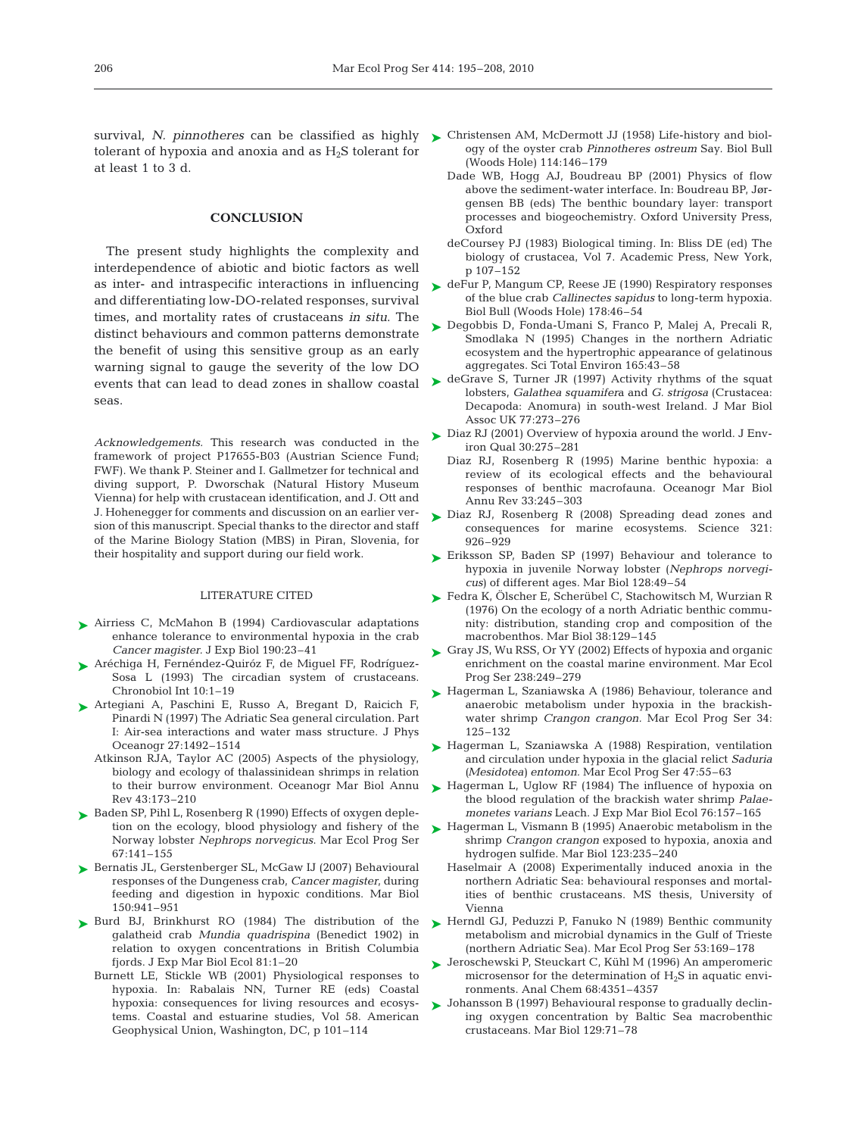survival, *N. pinnotheres* can be classified as highly  $\triangleright$  Christensen AM, McDermott JJ (1958) Life-history and bioltolerant of hypoxia and anoxia and as  $H<sub>2</sub>S$  tolerant for at least 1 to 3 d.

# **CONCLUSION**

The present study highlights the complexity and interdependence of abiotic and biotic factors as well and differentiating low-DO-related responses, survival times, and mortality rates of crustaceans *in situ*. The distinct behaviours and common patterns demonstrate the benefit of using this sensitive group as an early warning signal to gauge the severity of the low DO seas.

*Acknowledgements.* This research was conducted in the framework of project P17655-B03 (Austrian Science Fund; FWF). We thank P. Steiner and I. Gallmetzer for technical and diving support, P. Dworschak (Natural History Museum Vienna) for help with crustacean identification, and J. Ott and J. Hohenegger for comments and discussion on an earlier version of this manuscript. Special thanks to the director and staff of the Marine Biology Station (MBS) in Piran, Slovenia, for their hospitality and support during our field work.

# LITERATURE CITED

- ► Airriess C, McMahon B (1994) Cardiovascular adaptations enhance tolerance to environmental hypoxia in the crab *Cancer magister.* J Exp Biol 190:23–41
- ▶ Aréchiga H, Fernéndez-Quiróz F, de Miguel FF, Rodríguez-Sosa L (1993) The circadian system of crustaceans. Chronobiol Int 10:1–19
- ▶ Artegiani A, Paschini E, Russo A, Bregant D, Raicich F, Pinardi N (1997) The Adriatic Sea general circulation. Part I: Air-sea interactions and water mass structure. J Phys Oceanogr 27:1492–1514
	- Atkinson RJA, Taylor AC (2005) Aspects of the physiology, biology and ecology of thalassinidean shrimps in relation to their burrow environment. Oceanogr Mar Biol Annu Rev 43:173–210
- ► Baden SP, Pihl L, Rosenberg R (1990) Effects of oxygen depletion on the ecology, blood physiology and fishery of the Norway lobster *Nephrops norvegicus*. Mar Ecol Prog Ser 67:141–155
- ▶ Bernatis JL, Gerstenberger SL, McGaw IJ (2007) Behavioural responses of the Dungeness crab, *Cancer magister*, during feeding and digestion in hypoxic conditions. Mar Biol 150:941–951
- galatheid crab *Mundia quadrispina* (Benedict 1902) in relation to oxygen concentrations in British Columbia fjords. J Exp Mar Biol Ecol 81:1–20
	- Burnett LE, Stickle WB (2001) Physiological responses to hypoxia. In: Rabalais NN, Turner RE (eds) Coastal hypoxia: consequences for living resources and ecosystems. Coastal and estuarine studies, Vol 58. American Geophysical Union, Washington, DC, p 101–114
- ogy of the oyster crab *Pinnotheres ostreum* Say. Biol Bull (Woods Hole) 114:146–179
- Dade WB, Hogg AJ, Boudreau BP (2001) Physics of flow above the sediment-water interface. In: Boudreau BP, Jørgensen BB (eds) The benthic boundary layer: transport processes and biogeochemistry. Oxford University Press, Oxford
- deCoursey PJ (1983) Biological timing. In: Bliss DE (ed) The biology of crustacea, Vol 7. Academic Press, New York, p 107–152
- as inter- and intraspecific interactions in influencing  $\triangleright$  deFur P, Mangum CP, Reese JE (1990) Respiratory responses of the blue crab *Callinectes sapidus* to long-term hypoxia. Biol Bull (Woods Hole) 178:46–54
	- ► Degobbis D, Fonda-Umani S, Franco P, Malej A, Precali R, Smodlaka N (1995) Changes in the northern Adriatic ecosystem and the hypertrophic appearance of gelatinous aggregates. Sci Total Environ 165:43–58
- events that can lead to dead zones in shallow coastal  $\triangleright$  deGrave S, Turner JR (1997) Activity rhythms of the squatrice serves of the squatrice of the squatrice of the squatrice of the squatrice of the squatrice of the lobsters, *Galathea squamifer*a and *G. strigosa* (Crustacea: Decapoda: Anomura) in south-west Ireland. J Mar Biol Assoc UK 77:273–276
	- ► Diaz RJ (2001) Overview of hypoxia around the world. J Environ Qual 30:275–281
		- Diaz RJ, Rosenberg R (1995) Marine benthic hypoxia: a review of its ecological effects and the behavioural responses of benthic macrofauna. Oceanogr Mar Biol Annu Rev 33:245–303
	- ► Diaz RJ, Rosenberg R (2008) Spreading dead zones and consequences for marine ecosystems. Science 321: 926–929
	- ► Eriksson SP, Baden SP (1997) Behaviour and tolerance to hypoxia in juvenile Norway lobster (*Nephrops norvegicus*) of different ages. Mar Biol 128:49–54
	- ► Fedra K, Ölscher E, Scherübel C, Stachowitsch M, Wurzian R (1976) On the ecology of a north Adriatic benthic community: distribution, standing crop and composition of the macrobenthos. Mar Biol 38:129–145
	- ► Gray JS, Wu RSS, Or YY (2002) Effects of hypoxia and organic enrichment on the coastal marine environment. Mar Ecol Prog Ser 238:249–279
	- ► Hagerman L, Szaniawska A (1986) Behaviour, tolerance and anaerobic metabolism under hypoxia in the brackishwater shrimp *Crangon crangon.* Mar Ecol Prog Ser 34: 125–132
	- ► Hagerman L, Szaniawska A (1988) Respiration, ventilation and circulation under hypoxia in the glacial relict *Saduria (Mesidotea) entomon.* Mar Ecol Prog Ser 47:55–63
	- ► Hagerman L, Uglow RF (1984) The influence of hypoxia on the blood regulation of the brackish water shrimp *Palaemonetes varians* Leach. J Exp Mar Biol Ecol 76:157–165
	- ► Hagerman L, Vismann B (1995) Anaerobic metabolism in the shrimp *Crangon crangon* exposed to hypoxia, anoxia and hydrogen sulfide. Mar Biol 123:235–240
		- Haselmair A (2008) Experimentally induced anoxia in the northern Adriatic Sea: behavioural responses and mortalities of benthic crustaceans. MS thesis, University of Vienna
- ► Burd BJ, Brinkhurst RO (1984) The distribution of the ► Herndl GJ, Peduzzi P, Fanuko N (1989) Benthic community metabolism and microbial dynamics in the Gulf of Trieste (northern Adriatic Sea). Mar Ecol Prog Ser 53:169–178
	- ► Jeroschewski P, Steuckart C, Kühl M (1996) An amperomeric microsensor for the determination of  $H_2S$  in aquatic environments. Anal Chem 68:4351–4357
	- Johansson B (1997) Behavioural response to gradually declin-➤ing oxygen concentration by Baltic Sea macrobenthic crustaceans. Mar Biol 129:71–78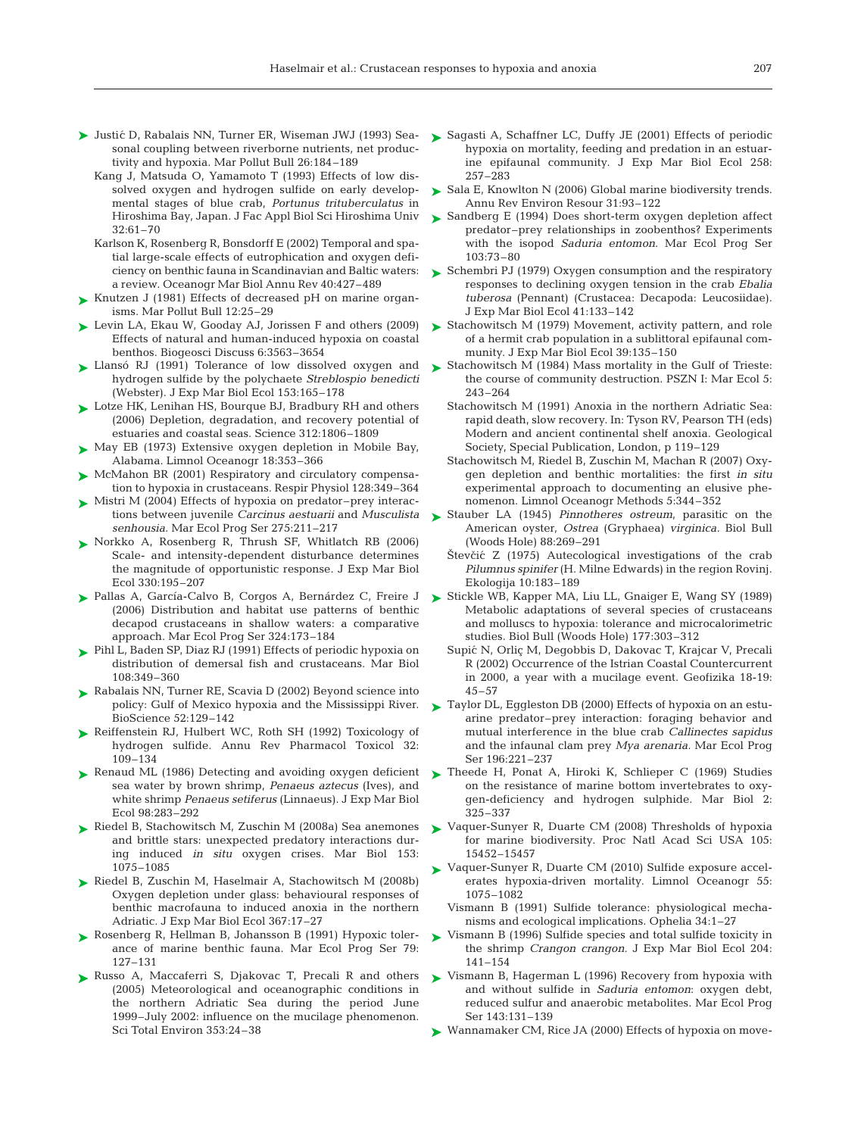- ▶ Justić D, Rabalais NN, Turner ER, Wiseman JWJ (1993) Seasonal coupling between riverborne nutrients, net productivity and hypoxia. Mar Pollut Bull 26:184–189
	- Kang J, Matsuda O, Yamamoto T (1993) Effects of low dissolved oxygen and hydrogen sulfide on early developmental stages of blue crab, *Portunus trituberculatus* in Hiroshima Bay, Japan. J Fac Appl Biol Sci Hiroshima Univ 32:61–70
	- Karlson K, Rosenberg R, Bonsdorff E (2002) Temporal and spatial large-scale effects of eutrophication and oxygen deficiency on benthic fauna in Scandinavian and Baltic waters: a review. Oceanogr Mar Biol Annu Rev 40:427–489
- ► Knutzen J (1981) Effects of decreased pH on marine organisms. Mar Pollut Bull 12:25–29
- ► Levin LA, Ekau W, Gooday AJ, Jorissen F and others (2009) Effects of natural and human-induced hypoxia on coastal benthos. Biogeosci Discuss 6:3563–3654
- ► Llansó RJ (1991) Tolerance of low dissolved oxygen and hydrogen sulfide by the polychaete *Streblospio benedicti* (Webster). J Exp Mar Biol Ecol 153:165–178
- ► Lotze HK, Lenihan HS, Bourque BJ, Bradbury RH and others (2006) Depletion, degradation, and recovery potential of estuaries and coastal seas. Science 312:1806–1809
- ► May EB (1973) Extensive oxygen depletion in Mobile Bay, Alabama. Limnol Oceanogr 18:353–366
- ► McMahon BR (2001) Respiratory and circulatory compensation to hypoxia in crustaceans. Respir Physiol 128:349–364
- ► Mistri M (2004) Effects of hypoxia on predator–prey interactions between juvenile *Carcinus aestuarii* and *Musculista senhousia.* Mar Ecol Prog Ser 275:211–217
- ▶ Norkko A, Rosenberg R, Thrush SF, Whitlatch RB (2006) Scale- and intensity-dependent disturbance determines the magnitude of opportunistic response. J Exp Mar Biol Ecol 330:195–207
- ► Pallas A, García-Calvo B, Corgos A, Bernárdez C, Freire J (2006) Distribution and habitat use patterns of benthic decapod crustaceans in shallow waters: a comparative approach. Mar Ecol Prog Ser 324:173–184
- ► Pihl L, Baden SP, Diaz RJ (1991) Effects of periodic hypoxia on distribution of demersal fish and crustaceans. Mar Biol 108:349–360
- ► Rabalais NN, Turner RE, Scavia D (2002) Beyond science into policy: Gulf of Mexico hypoxia and the Mississippi River. BioScience 52:129–142
- ▶ Reiffenstein RJ, Hulbert WC, Roth SH (1992) Toxicology of hydrogen sulfide. Annu Rev Pharmacol Toxicol 32: 109–134
- sea water by brown shrimp, *Penaeus aztecus* (Ives), and white shrimp *Penaeus setiferus* (Linnaeus). J Exp Mar Biol Ecol 98:283–292
- ► Riedel B, Stachowitsch M, Zuschin M (2008a) Sea anemones and brittle stars: unexpected predatory interactions during induced *in situ* oxygen crises. Mar Biol 153: 1075–1085
- ► Riedel B, Zuschin M, Haselmair A, Stachowitsch M (2008b) Oxygen depletion under glass: behavioural responses of benthic macrofauna to induced anoxia in the northern Adriatic. J Exp Mar Biol Ecol 367:17–27
- ► Rosenberg R, Hellman B, Johansson B (1991) Hypoxic tolerance of marine benthic fauna. Mar Ecol Prog Ser 79: 127–131
- ▶ Russo A, Maccaferri S, Djakovac T, Precali R and others (2005) Meteorological and oceanographic conditions in the northern Adriatic Sea during the period June 1999–July 2002: influence on the mucilage phenomenon. Sci Total Environ 353:24–38
- ► Sagasti A, Schaffner LC, Duffy JE (2001) Effects of periodic hypoxia on mortality, feeding and predation in an estuarine epifaunal community. J Exp Mar Biol Ecol 258: 257–283
- ► Sala E, Knowlton N (2006) Global marine biodiversity trends. Annu Rev Environ Resour 31:93–122
- Sandberg E (1994) Does short-term oxygen depletion affect predator–prey relationships in zoobenthos? Experiments with the isopod *Saduria entomon.* Mar Ecol Prog Ser 103:73–80 ➤
- ► Schembri PJ (1979) Oxygen consumption and the respiratory responses to declining oxygen tension in the crab *Ebalia tuberosa* (Pennant) (Crustacea: Decapoda: Leucosiidae). J Exp Mar Biol Ecol 41:133–142
- Stachowitsch M (1979) Movement, activity pattern, and role of a hermit crab population in a sublittoral epifaunal community. J Exp Mar Biol Ecol 39:135–150 ➤
- ► Stachowitsch M (1984) Mass mortality in the Gulf of Trieste: the course of community destruction. PSZN I: Mar Ecol 5: 243–264
	- Stachowitsch M (1991) Anoxia in the northern Adriatic Sea: rapid death, slow recovery. In: Tyson RV, Pearson TH (eds) Modern and ancient continental shelf anoxia. Geological Society, Special Publication, London, p 119–129
	- Stachowitsch M, Riedel B, Zuschin M, Machan R (2007) Oxygen depletion and benthic mortalities: the first *in situ* experimental approach to documenting an elusive phenomenon. Limnol Oceanogr Methods 5:344–352
- ► Stauber LA (1945) *Pinnotheres ostreum*, parasitic on the American oyster, *Ostrea* (Gryphaea) *virginica.* Biol Bull (Woods Hole) 88:269–291
	- Števčić Z (1975) Autecological investigations of the crab *Pilumnus spinifer* (H. Milne Edwards) in the region Rovinj. Ekologija 10:183–189
- ► Stickle WB, Kapper MA, Liu LL, Gnaiger E, Wang SY (1989) Metabolic adaptations of several species of crustaceans and molluscs to hypoxia: tolerance and microcalorimetric studies. Biol Bull (Woods Hole) 177:303–312
	- Supić N, Orliç M, Degobbis D, Dakovac T, Krajcar V, Precali R (2002) Occurrence of the Istrian Coastal Countercurrent in 2000, a year with a mucilage event. Geofizika 18-19: 45–57
- ► Taylor DL, Eggleston DB (2000) Effects of hypoxia on an estuarine predator–prey interaction: foraging behavior and mutual interference in the blue crab *Callinectes sapidus* and the infaunal clam prey *Mya arenaria.* Mar Ecol Prog Ser 196:221–237
- ► Renaud ML (1986) Detecting and avoiding oxygen deficient ► Theede H, Ponat A, Hiroki K, Schlieper C (1969) Studies on the resistance of marine bottom invertebrates to oxygen-deficiency and hydrogen sulphide. Mar Biol 2: 325–337
	- ► Vaquer-Sunyer R, Duarte CM (2008) Thresholds of hypoxia for marine biodiversity. Proc Natl Acad Sci USA 105: 15452–15457
	- ► Vaquer-Sunyer R, Duarte CM (2010) Sulfide exposure accelerates hypoxia-driven mortality. Limnol Oceanogr 55: 1075–1082
		- Vismann B (1991) Sulfide tolerance: physiological mechanisms and ecological implications. Ophelia 34:1–27
	- ► Vismann B (1996) Sulfide species and total sulfide toxicity in the shrimp *Crangon crangon.* J Exp Mar Biol Ecol 204: 141–154
	- ► Vismann B, Hagerman L (1996) Recovery from hypoxia with and without sulfide in *Saduria entomon*: oxygen debt, reduced sulfur and anaerobic metabolites. Mar Ecol Prog Ser 143:131–139
	- ► Wannamaker CM, Rice JA (2000) Effects of hypoxia on move-